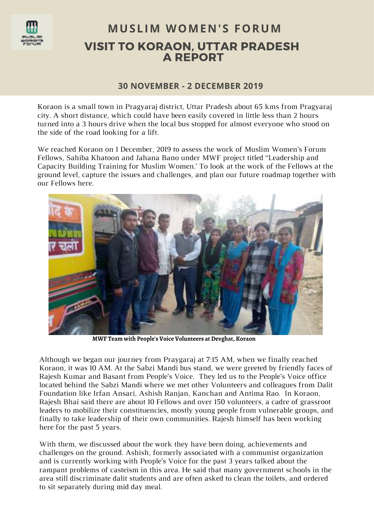

# VISIT TO KORAON, UTTAR PRADESH A REPORT **MUSLIM WOMEN'S FORUM**

# **30 NOVEMBER - 2 DECEMBER 2019**

Koraon is a small town in Pragyaraj district, Uttar Pradesh about 65 kms from Pragyaraj city. A short distance, which could have been easily covered in little less than 2 hours turned into a 3 hours drive when the local bus stopped for almost everyone who stood on the side of the road looking for a lift.

We reached Koraon on 1 December, 2019 to assess the work of Muslim Women's Forum Fellows, Sahiba Khatoon and Jahana Bano under MWF project titled ''Leadership and Capacity Building Training for Muslim Women.' To look at the work of the Fellows at the ground level, capture the issues and challenges, and plan our future roadmap together with our Fellows here.



**MWF Team with People's Voice Volunteers at Devghat, Koraon** 

Although we began our journey from Praygaraj at 7:15 AM, when we finally reached Koraon, it was 10 AM. At the Sabzi Mandi bus stand, we were greeted by friendly faces of Rajesh Kumar and Basant from People's Voice. They led us to the People's Voice office located behind the Sabzi Mandi where we met other Volunteers and colleagues from Dalit Foundation like Irfan Ansari, Ashish Ranjan, Kanchan and Antima Rao. In Koraon, Rajesh Bhai said there are about 10 Fellows and over 150 volunteers, a cadre of grassroot leaders to mobilize their constituencies, mostly young people from vulnerable groups, and finally to take leadership of their own communities. Rajesh himself has been working here for the past 5 years.

With them, we discussed about the work they have been doing, achievements and challenges on the ground. Ashish, formerly associated with a communist organization and is currently working with People's Voice for the past 3 years talked about the rampant problems of casteism in this area. He said that many government schools in the area still discriminate dalit students and are often asked to clean the toilets, and ordered to sit separately during mid day meal.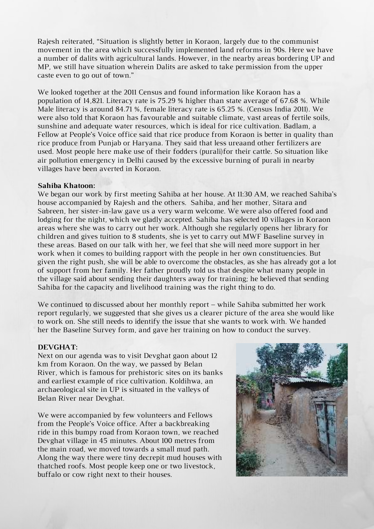Rajesh reiterated, "Situation is slightly better in Koraon, largely due to the communist movement in the area which successfully implemented land reforms in 90s. Here we have a number of dalits with agricultural lands. However, in the nearby areas bordering UP and MP, we still have situation wherein Dalits are asked to take permission from the upper caste even to go out of town."

We looked together at the 2011 Census and found information like Koraon has a population of 14,821. Literacy rate is 75.29 % higher than state average of 67.68 %. While Male literacy is around 84.71 %, female literacy rate is 65.25 %. (Census India 2011). We were also told that Koraon has favourable and suitable climate, vast areas of fertile soils, sunshine and adequate water resources, which is ideal for rice cultivation. Badlam, a Fellow at People's Voice office said that rice produce from Koraon is better in quality than rice produce from Punjab or Haryana. They said that less ureaand other fertilizers are used. Most people here make use of their fodders (purali)for their cattle. So situation like air pollution emergency in Delhi caused by the excessive burning of purali in nearby villages have been averted in Koraon.

#### **Sahiba Khatoon:**

We began our work by first meeting Sahiba at her house. At 11:30 AM, we reached Sahiba's house accompanied by Rajesh and the others. Sahiba, and her mother, Sitara and Sabreen, her sister-in-law gave us a very warm welcome. We were also offered food and lodging for the night, which we gladly accepted. Sahiba has selected 10 villages in Koraon areas where she was to carry out her work. Although she regularly opens her library for children and gives tuition to 8 students, she is yet to carry out MWF Baseline survey in these areas. Based on our talk with her, we feel that she will need more support in her work when it comes to building rapport with the people in her own constituencies. But given the right push, she will be able to overcome the obstacles, as she has already got a lot of support from her family. Her father proudly told us that despite what many people in the village said about sending their daughters away for training; he believed that sending Sahiba for the capacity and livelihood training was the right thing to do.

We continued to discussed about her monthly report – while Sahiba submitted her work report regularly, we suggested that she gives us a clearer picture of the area she would like to work on. She still needs to identify the issue that she wants to work with. We handed her the Baseline Survey form, and gave her training on how to conduct the survey.

#### **DEVGHAT:**

Next on our agenda was to visit Devghat gaon about 12 km from Koraon. On the way, we passed by Belan River, which is famous for prehistoric sites on its banks and earliest example of rice cultivation. Koldihwa, an archaeological site in UP is situated in the valleys of Belan River near Devghat.

We were accompanied by few volunteers and Fellows from the People's Voice office. After a backbreaking ride in this bumpy road from Koraon town, we reached Devghat village in 45 minutes. About 100 metres from the main road, we moved towards a small mud path. Along the way there were tiny decrepit mud houses with thatched roofs. Most people keep one or two livestock, buffalo or cow right next to their houses.

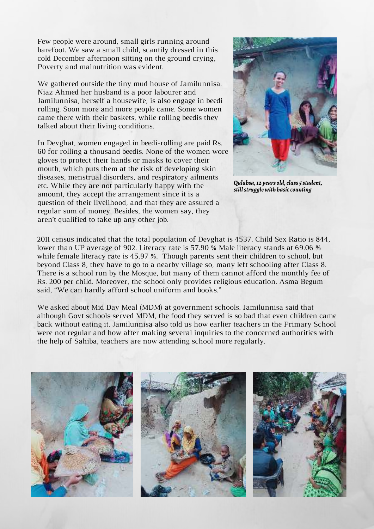Few people were around, small girls running around barefoot. We saw a small child, scantily dressed in this cold December afternoon sitting on the ground crying, Poverty and malnutrition was evident.

We gathered outside the tiny mud house of Jamilunnisa. Niaz Ahmed her husband is a poor labourer and Jamilunnisa, herself a housewife, is also engage in beedi rolling. Soon more and more people came. Some women came there with their baskets, while rolling beedis they talked about their living conditions.

In Devghat, women engaged in beedi-rolling are paid Rs. 60 for rolling a thousand beedis. None of the women wore gloves to protect their hands or masks to cover their mouth, which puts them at the risk of developing skin diseases, menstrual disorders, and respiratory ailments etc. While they are not particularly happy with the amount, they accept the arrangement since it is a question of their livelihood, and that they are assured a regular sum of money. Besides, the women say, they aren't qualified to take up any other job.



*Qulabsa, 12 years old, class 5 student, still struggle with basic counting*

2011 census indicated that the total population of Devghat is 4537. Child Sex Ratio is 844, lower than UP average of 902. Literacy rate is 57.90 % Male literacy stands at 69.06 % while female literacy rate is 45.97 %. Though parents sent their children to school, but beyond Class 8, they have to go to a nearby village so, many left schooling after Class 8. There is a school run by the Mosque, but many of them cannot afford the monthly fee of Rs. 200 per child. Moreover, the school only provides religious education. Asma Begum said, "We can hardly afford school uniform and books."

We asked about Mid Day Meal (MDM) at government schools. Jamilunnisa said that although Govt schools served MDM, the food they served is so bad that even children came back without eating it. Jamilunnisa also told us how earlier teachers in the Primary School were not regular and how after making several inquiries to the concerned authorities with the help of Sahiba, teachers are now attending school more regularly.

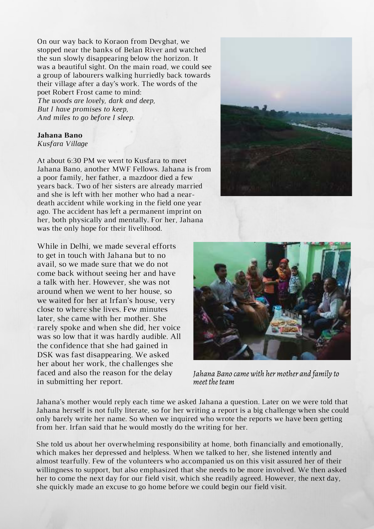On our way back to Koraon from Devghat, we stopped near the banks of Belan River and watched the sun slowly disappearing below the horizon. It was a beautiful sight. On the main road, we could see a group of labourers walking hurriedly back towards their village after a day's work. The words of the poet Robert Frost came to mind: *The woods are lovely, dark and deep, But I have promises to keep, And miles to go before I sleep.*

### **Jahana Bano**

*Kusfara Village*

At about 6:30 PM we went to Kusfara to meet Jahana Bano, another MWF Fellows. Jahana is from a poor family, her father, a mazdoor died a few years back. Two of her sisters are already married and she is left with her mother who had a neardeath accident while working in the field one year ago. The accident has left a permanent imprint on her, both physically and mentally. For her, Jahana was the only hope for their livelihood.

While in Delhi, we made several efforts to get in touch with Jahana but to no avail, so we made sure that we do not come back without seeing her and have a talk with her. However, she was not around when we went to her house, so we waited for her at Irfan's house, very close to where she lives. Few minutes later, she came with her mother. She rarely spoke and when she did, her voice was so low that it was hardly audible. All the confidence that she had gained in DSK was fast disappearing. We asked her about her work, the challenges she faced and also the reason for the delay in submitting her report.





*Jahana Bano came with her mother and family to meet the team* 

Jahana's mother would reply each time we asked Jahana a question. Later on we were told that Jahana herself is not fully literate, so for her writing a report is a big challenge when she could only barely write her name. So when we inquired who wrote the reports we have been getting from her. Irfan said that he would mostly do the writing for her.

She told us about her overwhelming responsibility at home, both financially and emotionally, which makes her depressed and helpless. When we talked to her, she listened intently and almost tearfully. Few of the volunteers who accompanied us on this visit assured her of their willingness to support, but also emphasized that she needs to be more involved. We then asked her to come the next day for our field visit, which she readily agreed. However, the next day, she quickly made an excuse to go home before we could begin our field visit.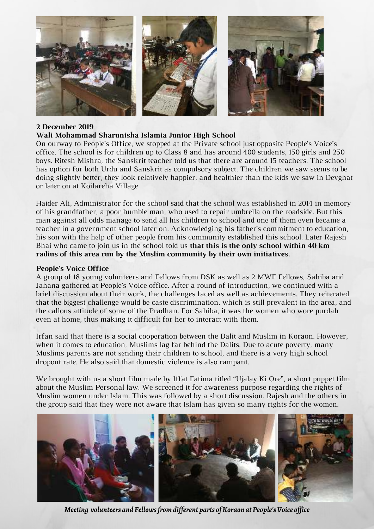

## **2 December 2019**

# **Wali Mohammad Sharunisha Islamia Junior High School**

On ourway to People's Office, we stopped at the Private school just opposite People's Voice's office. The school is for children up to Class 8 and has around 400 students, 150 girls and 250 boys. Ritesh Mishra, the Sanskrit teacher told us that there are around 15 teachers. The school has option for both Urdu and Sanskrit as compulsory subject. The children we saw seems to be doing slightly better, they look relatively happier, and healthier than the kids we saw in Devghat or later on at Koilareha Village.

Haider Ali, Administrator for the school said that the school was established in 2014 in memory of his grandfather, a poor humble man, who used to repair umbrella on the roadside. But this man against all odds manage to send all his children to school and one of them even became a teacher in a government school later on. Acknowledging his father's commitment to education, his son with the help of other people from his community established this school. Later Rajesh Bhai who came to join us in the school told us **that this is the only school within 40 km radius of this area run by the Muslim community by their own initiatives.**

### **People's Voice Office**

A group of 18 young volunteers and Fellows from DSK as well as 2 MWF Fellows, Sahiba and Jahana gathered at People's Voice office. After a round of introduction, we continued with a brief discussion about their work, the challenges faced as well as achievements. They reiterated that the biggest challenge would be caste discrimination, which is still prevalent in the area, and the callous attitude of some of the Pradhan. For Sahiba, it was the women who wore purdah even at home, thus making it difficult for her to interact with them.

Irfan said that there is a social cooperation between the Dalit and Muslim in Koraon. However, when it comes to education, Muslims lag far behind the Dalits. Due to acute poverty, many Muslims parents are not sending their children to school, and there is a very high school dropout rate. He also said that domestic violence is also rampant.

We brought with us a short film made by Iffat Fatima titled "Ujalay Ki Ore", a short puppet film about the Muslim Personal law. We screened it for awareness purpose regarding the rights of Muslim women under Islam. This was followed by a short discussion. Rajesh and the others in the group said that they were not aware that Islam has given so many rights for the women.



*Meeting volunteers and Fellows from different parts of Koraon at People's Voice office*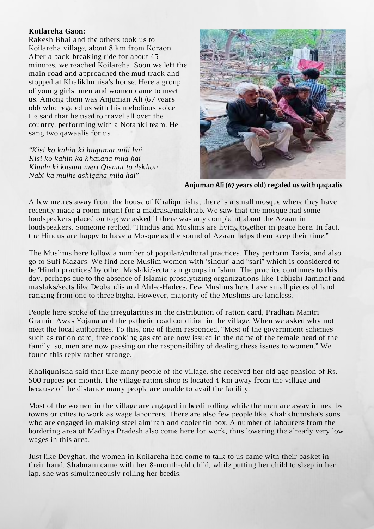# **Koilareha Gaon:**

Rakesh Bhai and the others took us to Koilareha village, about 8 km from Koraon. After a back-breaking ride for about 45 minutes, we reached Koilareha. Soon we left the main road and approached the mud track and stopped at Khalikhunisa's house. Here a group of young girls, men and women came to meet us. Among them was Anjuman Ali (67 years old) who regaled us with his melodious voice. He said that he used to travel all over the country, performing with a Notanki team. He sang two qawaalis for us.

*"Kisi ko kahin ki huqumat mili hai Kisi ko kahin ka khazana mila hai Khuda ki kasam meri Qismat to dekhon Nabi ka mujhe ashiqana mila hai"*



**Anjuman Ali (67 years old) regaled us with qaqaalis** 

A few metres away from the house of Khaliqunisha, there is a small mosque where they have recently made a room meant for a madrasa/makhtab. We saw that the mosque had some loudspeakers placed on top; we asked if there was any complaint about the Azaan in loudspeakers. Someone replied, "Hindus and Muslims are living together in peace here. In fact, the Hindus are happy to have a Mosque as the sound of Azaan helps them keep their time."

The Muslims here follow a number of popular/cultural practices. They perform Tazia, and also go to Sufi Mazars. We find here Muslim women with 'sindur' and "sari" which is considered to be 'Hindu practices' by other Maslaki/sectarian groups in Islam. The practice continues to this day, perhaps due to the absence of Islamic proselytizing organizations like Tablighi Jammat and maslaks/sects like Deobandis and Ahl-e-Hadees. Few Muslims here have small pieces of land ranging from one to three bigha. However, majority of the Muslims are landless.

People here spoke of the irregularities in the distribution of ration card, Pradhan Mantri Gramin Awas Yojana and the pathetic road condition in the village. When we asked why not meet the local authorities. To this, one of them responded, "Most of the government schemes such as ration card, free cooking gas etc are now issued in the name of the female head of the family, so, men are now passing on the responsibility of dealing these issues to women." We found this reply rather strange.

Khaliqunisha said that like many people of the village, she received her old age pension of Rs. 500 rupees per month. The village ration shop is located 4 km away from the village and because of the distance many people are unable to avail the facility.

Most of the women in the village are engaged in beedi rolling while the men are away in nearby towns or cities to work as wage labourers. There are also few people like Khalikhunisha's sons who are engaged in making steel almirah and cooler tin box. A number of labourers from the bordering area of Madhya Pradesh also come here for work, thus lowering the already very low wages in this area.

Just like Devghat, the women in Koilareha had come to talk to us came with their basket in their hand. Shabnam came with her 8-month-old child, while putting her child to sleep in her lap, she was simultaneously rolling her beedis.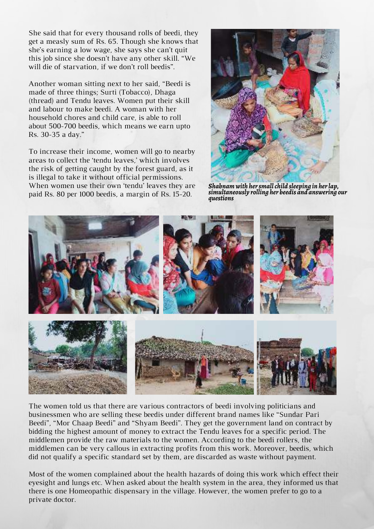She said that for every thousand rolls of beedi, they get a measly sum of Rs. 65. Though she knows that she's earning a low wage, she says she can't quit this job since she doesn't have any other skill. "We will die of starvation, if we don't roll beedis".

Another woman sitting next to her said, "Beedi is made of three things; Surti (Tobacco), Dhaga (thread) and Tendu leaves. Women put their skill and labour to make beedi. A woman with her household chores and child care, is able to roll about 500-700 beedis, which means we earn upto Rs. 30-35 a day."

To increase their income, women will go to nearby areas to collect the 'tendu leaves,' which involves the risk of getting caught by the forest guard, as it is illegal to take it without official permissions. When women use their own 'tendu' leaves they are paid Rs. 80 per 1000 beedis, a margin of Rs. 15-20.



*Shabnam with her small child sleeping in her lap, simultaneously rolling her beedis and answering our questions*



The women told us that there are various contractors of beedi involving politicians and businessmen who are selling these beedis under different brand names like "Sundar Pari Beedi", "Mor Chaap Beedi" and "Shyam Beedi". They get the government land on contract by bidding the highest amount of money to extract the Tendu leaves for a specific period. The middlemen provide the raw materials to the women. According to the beedi rollers, the middlemen can be very callous in extracting profits from this work. Moreover, beedis, which did not qualify a specific standard set by them, are discarded as waste without payment.

Most of the women complained about the health hazards of doing this work which effect their eyesight and lungs etc. When asked about the health system in the area, they informed us that there is one Homeopathic dispensary in the village. However, the women prefer to go to a private doctor.